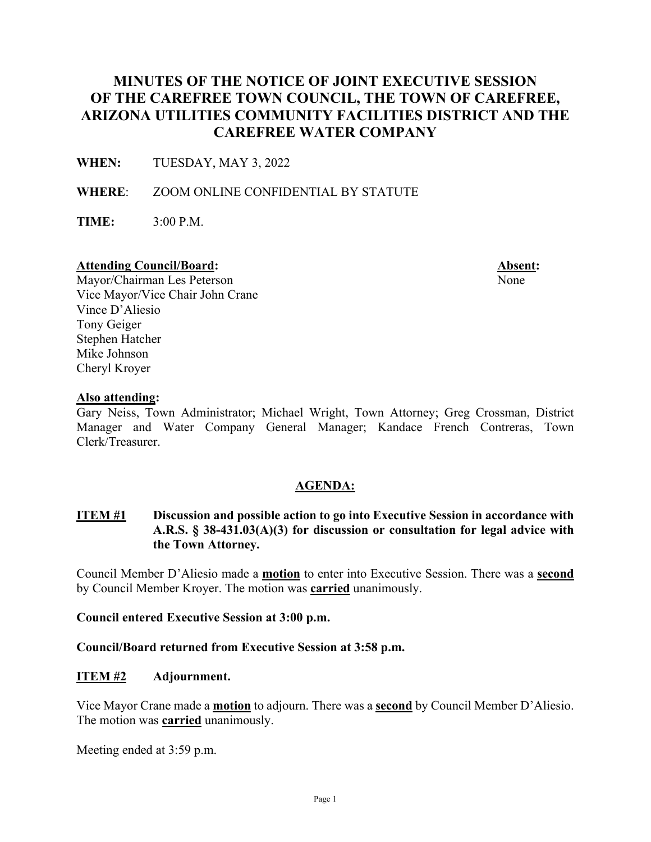# **MINUTES OF THE NOTICE OF JOINT EXECUTIVE SESSION OF THE CAREFREE TOWN COUNCIL, THE TOWN OF CAREFREE, ARIZONA UTILITIES COMMUNITY FACILITIES DISTRICT AND THE CAREFREE WATER COMPANY**

**WHEN:** TUESDAY, MAY 3, 2022

**WHERE**: ZOOM ONLINE CONFIDENTIAL BY STATUTE

**TIME:** 3:00 P.M.

#### Attending Council/Board: **Absent: Absent: Absent: Absent: Absent: Absent: Absent: Absent: Absent: Absent: Absent: Absent: Absent: Absent: Absent: Absent: Absent: Absent: Absent: Absent**

Mayor/Chairman Les Peterson None Vice Mayor/Vice Chair John Crane Vince D'Aliesio Tony Geiger Stephen Hatcher Mike Johnson Cheryl Kroyer

### **Also attending:**

Gary Neiss, Town Administrator; Michael Wright, Town Attorney; Greg Crossman, District Manager and Water Company General Manager; Kandace French Contreras, Town Clerk/Treasurer.

### **AGENDA:**

## **ITEM #1 Discussion and possible action to go into Executive Session in accordance with A.R.S. § 38-431.03(A)(3) for discussion or consultation for legal advice with the Town Attorney.**

Council Member D'Aliesio made a **motion** to enter into Executive Session. There was a **second** by Council Member Kroyer. The motion was **carried** unanimously.

**Council entered Executive Session at 3:00 p.m.** 

**Council/Board returned from Executive Session at 3:58 p.m.** 

### **ITEM #2 Adjournment.**

Vice Mayor Crane made a **motion** to adjourn. There was a **second** by Council Member D'Aliesio. The motion was **carried** unanimously.

Meeting ended at 3:59 p.m.